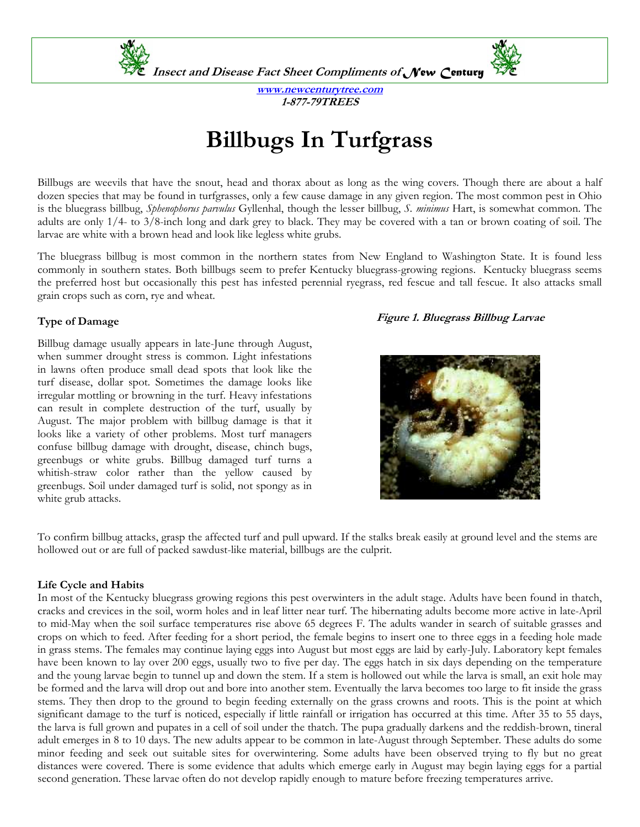**Insect and Disease Fact Sheet Compliments of** *New Century*



**www.newcenturytree.com 1-877-79TREES** 

# **Billbugs In Turfgrass**

Billbugs are weevils that have the snout, head and thorax about as long as the wing covers. Though there are about a half dozen species that may be found in turfgrasses, only a few cause damage in any given region. The most common pest in Ohio is the bluegrass billbug, *Sphenophorus parvulus* Gyllenhal, though the lesser billbug, *S. minimus* Hart, is somewhat common. The adults are only 1/4- to 3/8-inch long and dark grey to black. They may be covered with a tan or brown coating of soil. The larvae are white with a brown head and look like legless white grubs.

The bluegrass billbug is most common in the northern states from New England to Washington State. It is found less commonly in southern states. Both billbugs seem to prefer Kentucky bluegrass-growing regions. Kentucky bluegrass seems the preferred host but occasionally this pest has infested perennial ryegrass, red fescue and tall fescue. It also attacks small grain crops such as corn, rye and wheat.

## **Type of Damage**

Billbug damage usually appears in late-June through August, when summer drought stress is common. Light infestations in lawns often produce small dead spots that look like the turf disease, dollar spot. Sometimes the damage looks like irregular mottling or browning in the turf. Heavy infestations can result in complete destruction of the turf, usually by August. The major problem with billbug damage is that it looks like a variety of other problems. Most turf managers confuse billbug damage with drought, disease, chinch bugs, greenbugs or white grubs. Billbug damaged turf turns a whitish-straw color rather than the yellow caused by greenbugs. Soil under damaged turf is solid, not spongy as in white grub attacks.

### **Figure 1. Bluegrass Billbug Larvae**



To confirm billbug attacks, grasp the affected turf and pull upward. If the stalks break easily at ground level and the stems are hollowed out or are full of packed sawdust-like material, billbugs are the culprit.

### **Life Cycle and Habits**

In most of the Kentucky bluegrass growing regions this pest overwinters in the adult stage. Adults have been found in thatch, cracks and crevices in the soil, worm holes and in leaf litter near turf. The hibernating adults become more active in late-April to mid-May when the soil surface temperatures rise above 65 degrees F. The adults wander in search of suitable grasses and crops on which to feed. After feeding for a short period, the female begins to insert one to three eggs in a feeding hole made in grass stems. The females may continue laying eggs into August but most eggs are laid by early-July. Laboratory kept females have been known to lay over 200 eggs, usually two to five per day. The eggs hatch in six days depending on the temperature and the young larvae begin to tunnel up and down the stem. If a stem is hollowed out while the larva is small, an exit hole may be formed and the larva will drop out and bore into another stem. Eventually the larva becomes too large to fit inside the grass stems. They then drop to the ground to begin feeding externally on the grass crowns and roots. This is the point at which significant damage to the turf is noticed, especially if little rainfall or irrigation has occurred at this time. After 35 to 55 days, the larva is full grown and pupates in a cell of soil under the thatch. The pupa gradually darkens and the reddish-brown, tineral adult emerges in 8 to 10 days. The new adults appear to be common in late-August through September. These adults do some minor feeding and seek out suitable sites for overwintering. Some adults have been observed trying to fly but no great distances were covered. There is some evidence that adults which emerge early in August may begin laying eggs for a partial second generation. These larvae often do not develop rapidly enough to mature before freezing temperatures arrive.